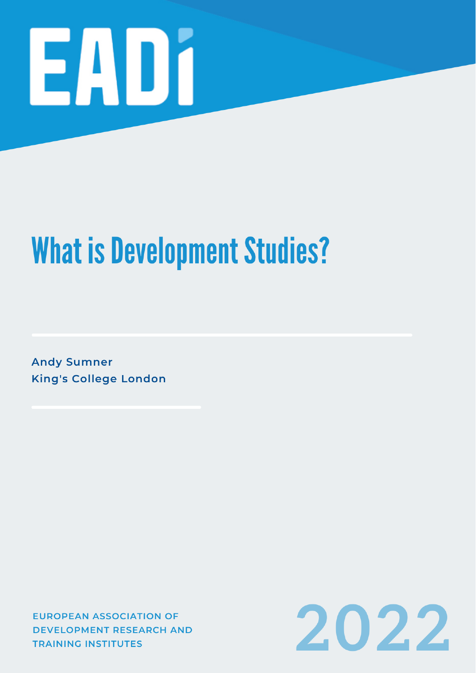

# **What is Development Studies?**

**Andy Sumner King's College London** 

**EUROPEAN ASSOCIATION OF DEVELOPMENT RESEARCH AND TRAINING INSTITUTES** 

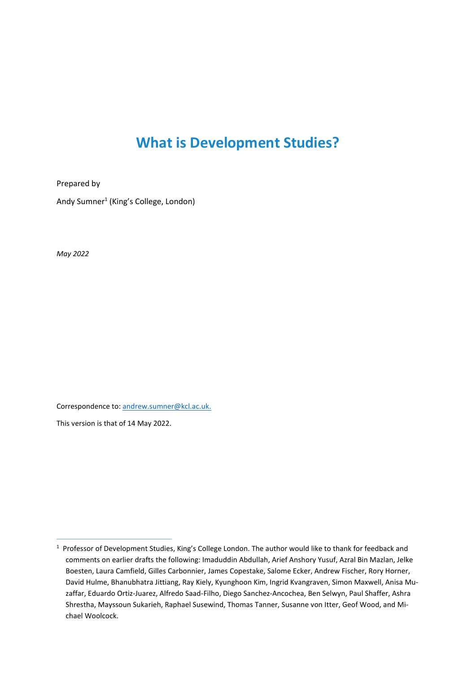## **What is Development Studies?**

Prepared by

Andy Sumner<sup>1</sup> (King's College, London)

*May 2022*

Correspondence to[: andrew.sumner@kcl.ac.uk.](mailto:andrew.sumner@kcl.ac.uk)

This version is that of 14 May 2022.

<sup>&</sup>lt;sup>1</sup> Professor of Development Studies, King's College London. The author would like to thank for feedback and comments on earlier drafts the following: Imaduddin Abdullah, Arief Anshory Yusuf, Azral Bin Mazlan, Jelke Boesten, Laura Camfield, Gilles Carbonnier, James Copestake, Salome Ecker, Andrew Fischer, Rory Horner, David Hulme, Bhanubhatra Jittiang, Ray Kiely, Kyunghoon Kim, Ingrid Kvangraven, Simon Maxwell, Anisa Muzaffar, Eduardo Ortiz-Juarez, Alfredo Saad-Filho, Diego Sanchez-Ancochea, Ben Selwyn, Paul Shaffer, Ashra Shrestha, Mayssoun Sukarieh, Raphael Susewind, Thomas Tanner, Susanne von Itter, Geof Wood, and Michael Woolcock.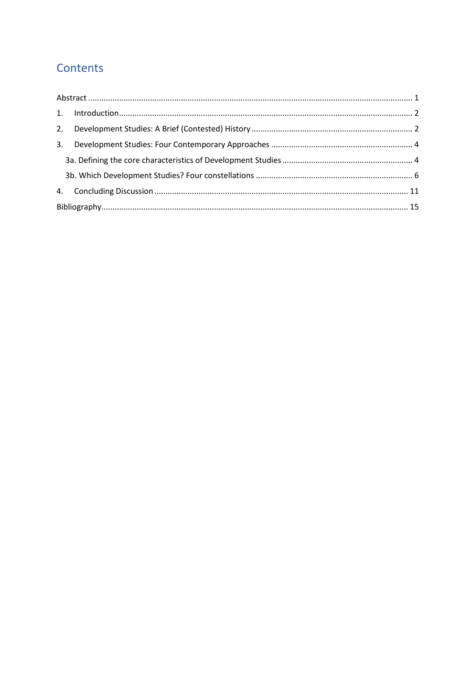## Contents

| 3. |  |  |  |  |  |
|----|--|--|--|--|--|
|    |  |  |  |  |  |
|    |  |  |  |  |  |
|    |  |  |  |  |  |
|    |  |  |  |  |  |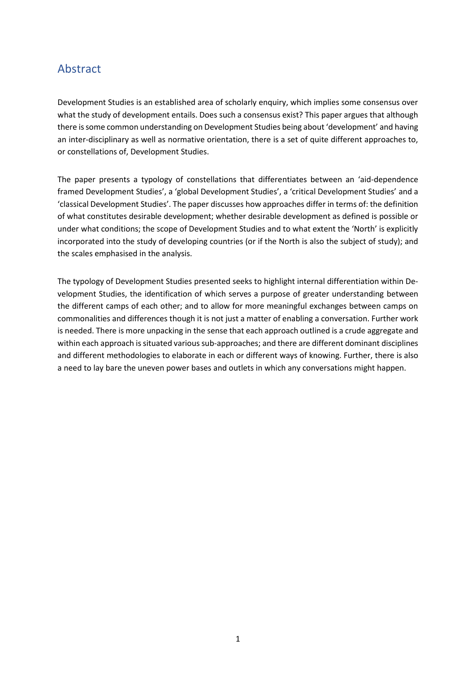#### <span id="page-4-0"></span>Abstract

Development Studies is an established area of scholarly enquiry, which implies some consensus over what the study of development entails. Does such a consensus exist? This paper argues that although there is some common understanding on Development Studies being about 'development' and having an inter-disciplinary as well as normative orientation, there is a set of quite different approaches to, or constellations of, Development Studies.

The paper presents a typology of constellations that differentiates between an 'aid-dependence framed Development Studies', a 'global Development Studies', a 'critical Development Studies' and a 'classical Development Studies'. The paper discusses how approaches differ in terms of: the definition of what constitutes desirable development; whether desirable development as defined is possible or under what conditions; the scope of Development Studies and to what extent the 'North' is explicitly incorporated into the study of developing countries (or if the North is also the subject of study); and the scales emphasised in the analysis.

The typology of Development Studies presented seeks to highlight internal differentiation within Development Studies, the identification of which serves a purpose of greater understanding between the different camps of each other; and to allow for more meaningful exchanges between camps on commonalities and differences though it is not just a matter of enabling a conversation. Further work is needed. There is more unpacking in the sense that each approach outlined is a crude aggregate and within each approach is situated various sub-approaches; and there are different dominant disciplines and different methodologies to elaborate in each or different ways of knowing. Further, there is also a need to lay bare the uneven power bases and outlets in which any conversations might happen.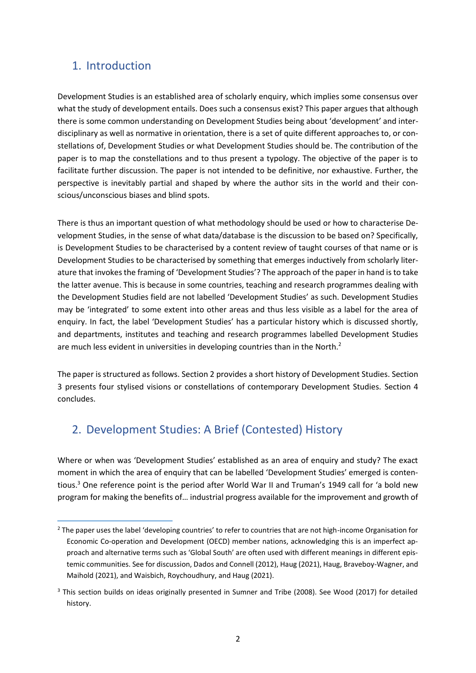#### <span id="page-5-0"></span>1. Introduction

Development Studies is an established area of scholarly enquiry, which implies some consensus over what the study of development entails. Does such a consensus exist? This paper argues that although there is some common understanding on Development Studies being about 'development' and interdisciplinary as well as normative in orientation, there is a set of quite different approaches to, or constellations of, Development Studies or what Development Studies should be. The contribution of the paper is to map the constellations and to thus present a typology. The objective of the paper is to facilitate further discussion. The paper is not intended to be definitive, nor exhaustive. Further, the perspective is inevitably partial and shaped by where the author sits in the world and their conscious/unconscious biases and blind spots.

There is thus an important question of what methodology should be used or how to characterise Development Studies, in the sense of what data/database is the discussion to be based on? Specifically, is Development Studies to be characterised by a content review of taught courses of that name or is Development Studies to be characterised by something that emerges inductively from scholarly literature that invokes the framing of 'Development Studies'? The approach of the paper in hand is to take the latter avenue. This is because in some countries, teaching and research programmes dealing with the Development Studies field are not labelled 'Development Studies' as such. Development Studies may be 'integrated' to some extent into other areas and thus less visible as a label for the area of enquiry. In fact, the label 'Development Studies' has a particular history which is discussed shortly, and departments, institutes and teaching and research programmes labelled Development Studies are much less evident in universities in developing countries than in the North.<sup>2</sup>

The paper is structured as follows. Section 2 provides a short history of Development Studies. Section 3 presents four stylised visions or constellations of contemporary Development Studies. Section 4 concludes.

## <span id="page-5-1"></span>2. Development Studies: A Brief (Contested) History

Where or when was 'Development Studies' established as an area of enquiry and study? The exact moment in which the area of enquiry that can be labelled 'Development Studies' emerged is contentious.<sup>3</sup> One reference point is the period after World War II and Truman's 1949 call for 'a bold new program for making the benefits of… industrial progress available for the improvement and growth of

<sup>&</sup>lt;sup>2</sup> The paper uses the label 'developing countries' to refer to countries that are not high-income Organisation for Economic Co-operation and Development (OECD) member nations, acknowledging this is an imperfect approach and alternative terms such as 'Global South' are often used with different meanings in different epistemic communities. See for discussion, Dados and Connell (2012), Haug (2021), Haug, Braveboy-Wagner, and Maihold (2021), and Waisbich, Roychoudhury, and Haug (2021).

<sup>&</sup>lt;sup>3</sup> This section builds on ideas originally presented in Sumner and Tribe (2008). See Wood (2017) for detailed history.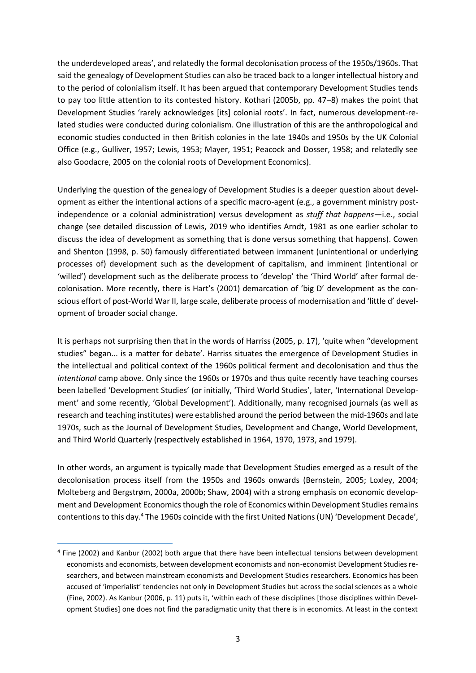the underdeveloped areas', and relatedly the formal decolonisation process of the 1950s/1960s. That said the genealogy of Development Studies can also be traced back to a longer intellectual history and to the period of colonialism itself. It has been argued that contemporary Development Studies tends to pay too little attention to its contested history. Kothari (2005b, pp. 47–8) makes the point that Development Studies 'rarely acknowledges [its] colonial roots'. In fact, numerous development-related studies were conducted during colonialism. One illustration of this are the anthropological and economic studies conducted in then British colonies in the late 1940s and 1950s by the UK Colonial Office (e.g., Gulliver, 1957; Lewis, 1953; Mayer, 1951; Peacock and Dosser, 1958; and relatedly see also Goodacre, 2005 on the colonial roots of Development Economics).

Underlying the question of the genealogy of Development Studies is a deeper question about development as either the intentional actions of a specific macro-agent (e.g., a government ministry postindependence or a colonial administration) versus development as *stuff that happens*—i.e., social change (see detailed discussion of Lewis, 2019 who identifies Arndt, 1981 as one earlier scholar to discuss the idea of development as something that is done versus something that happens). Cowen and Shenton (1998, p. 50) famously differentiated between immanent (unintentional or underlying processes of) development such as the development of capitalism, and imminent (intentional or 'willed') development such as the deliberate process to 'develop' the 'Third World' after formal decolonisation. More recently, there is Hart's (2001) demarcation of 'big D' development as the conscious effort of post-World War II, large scale, deliberate process of modernisation and 'little d' development of broader social change.

It is perhaps not surprising then that in the words of Harriss (2005, p. 17), 'quite when "development studies" began... is a matter for debate'. Harriss situates the emergence of Development Studies in the intellectual and political context of the 1960s political ferment and decolonisation and thus the *intentional* camp above. Only since the 1960s or 1970s and thus quite recently have teaching courses been labelled 'Development Studies' (or initially, 'Third World Studies', later, 'International Development' and some recently, 'Global Development'). Additionally, many recognised journals (as well as research and teaching institutes) were established around the period between the mid-1960s and late 1970s, such as the Journal of Development Studies, Development and Change, World Development, and Third World Quarterly (respectively established in 1964, 1970, 1973, and 1979).

In other words, an argument is typically made that Development Studies emerged as a result of the decolonisation process itself from the 1950s and 1960s onwards (Bernstein, 2005; Loxley, 2004; Molteberg and Bergstrøm, 2000a, 2000b; Shaw, 2004) with a strong emphasis on economic development and Development Economics though the role of Economics within Development Studies remains contentions to this day.<sup>4</sup> The 1960s coincide with the first United Nations (UN) 'Development Decade',

<sup>&</sup>lt;sup>4</sup> Fine (2002) and Kanbur (2002) both argue that there have been intellectual tensions between development economists and economists, between development economists and non-economist Development Studies researchers, and between mainstream economists and Development Studies researchers. Economics has been accused of 'imperialist' tendencies not only in Development Studies but across the social sciences as a whole (Fine, 2002). As Kanbur (2006, p. 11) puts it, 'within each of these disciplines [those disciplines within Development Studies] one does not find the paradigmatic unity that there is in economics. At least in the context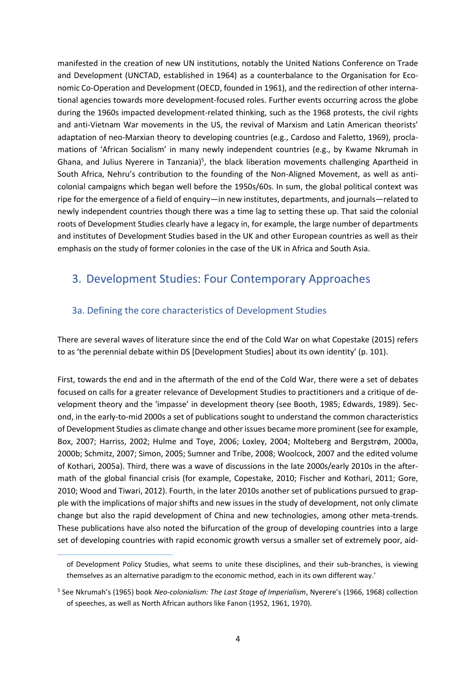manifested in the creation of new UN institutions, notably the United Nations Conference on Trade and Development (UNCTAD, established in 1964) as a counterbalance to the Organisation for Economic Co-Operation and Development (OECD, founded in 1961), and the redirection of other international agencies towards more development-focused roles. Further events occurring across the globe during the 1960s impacted development-related thinking, such as the 1968 protests, the civil rights and anti-Vietnam War movements in the US, the revival of Marxism and Latin American theorists' adaptation of neo-Marxian theory to developing countries (e.g., Cardoso and Faletto, 1969), proclamations of 'African Socialism' in many newly independent countries (e.g., by Kwame Nkrumah in Ghana, and Julius Nyerere in Tanzania)<sup>5</sup>, the black liberation movements challenging Apartheid in South Africa, Nehru's contribution to the founding of the Non-Aligned Movement, as well as anticolonial campaigns which began well before the 1950s/60s. In sum, the global political context was ripe for the emergence of a field of enquiry—in new institutes, departments, and journals—related to newly independent countries though there was a time lag to setting these up. That said the colonial roots of Development Studies clearly have a legacy in, for example, the large number of departments and institutes of Development Studies based in the UK and other European countries as well as their emphasis on the study of former colonies in the case of the UK in Africa and South Asia.

#### <span id="page-7-0"></span>3. Development Studies: Four Contemporary Approaches

#### <span id="page-7-1"></span>3a. Defining the core characteristics of Development Studies

There are several waves of literature since the end of the Cold War on what Copestake (2015) refers to as 'the perennial debate within DS [Development Studies] about its own identity' (p. 101).

First, towards the end and in the aftermath of the end of the Cold War, there were a set of debates focused on calls for a greater relevance of Development Studies to practitioners and a critique of development theory and the 'impasse' in development theory (see Booth, 1985; Edwards, 1989). Second, in the early-to-mid 2000s a set of publications sought to understand the common characteristics of Development Studies as climate change and other issues became more prominent (see for example, Box, 2007; Harriss, 2002; Hulme and Toye, 2006; Loxley, 2004; Molteberg and Bergstrøm, 2000a, 2000b; Schmitz, 2007; Simon, 2005; Sumner and Tribe, 2008; Woolcock, 2007 and the edited volume of Kothari, 2005a). Third, there was a wave of discussions in the late 2000s/early 2010s in the aftermath of the global financial crisis (for example, Copestake, 2010; Fischer and Kothari, 2011; Gore, 2010; Wood and Tiwari, 2012). Fourth, in the later 2010s another set of publications pursued to grapple with the implications of major shifts and new issues in the study of development, not only climate change but also the rapid development of China and new technologies, among other meta-trends. These publications have also noted the bifurcation of the group of developing countries into a large set of developing countries with rapid economic growth versus a smaller set of extremely poor, aid-

of Development Policy Studies, what seems to unite these disciplines, and their sub-branches, is viewing themselves as an alternative paradigm to the economic method, each in its own different way.'

<sup>5</sup> See Nkrumah's (1965) book *Neo-colonialism: The Last Stage of Imperialism*, Nyerere's (1966, 1968) collection of speeches, as well as North African authors like Fanon (1952, 1961, 1970).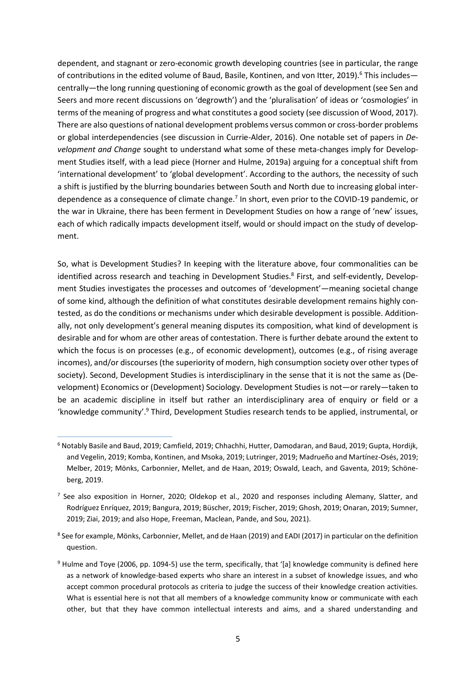dependent, and stagnant or zero-economic growth developing countries (see in particular, the range of contributions in the edited volume of Baud, Basile, Kontinen, and von Itter, 2019).<sup>6</sup> This includes centrally—the long running questioning of economic growth as the goal of development (see Sen and Seers and more recent discussions on 'degrowth') and the 'pluralisation' of ideas or 'cosmologies' in terms of the meaning of progress and what constitutes a good society (see discussion of Wood, 2017). There are also questions of national development problems versus common or cross-border problems or global interdependencies (see discussion in Currie-Alder, 2016). One notable set of papers in *Development and Change* sought to understand what some of these meta-changes imply for Development Studies itself, with a lead piece (Horner and Hulme, 2019a) arguing for a conceptual shift from 'international development' to 'global development'. According to the authors, the necessity of such a shift is justified by the blurring boundaries between South and North due to increasing global interdependence as a consequence of climate change.<sup>7</sup> In short, even prior to the COVID-19 pandemic, or the war in Ukraine, there has been ferment in Development Studies on how a range of 'new' issues, each of which radically impacts development itself, would or should impact on the study of development.

So, what is Development Studies? In keeping with the literature above, four commonalities can be identified across research and teaching in Development Studies.<sup>8</sup> First, and self-evidently, Development Studies investigates the processes and outcomes of 'development'—meaning societal change of some kind, although the definition of what constitutes desirable development remains highly contested, as do the conditions or mechanisms under which desirable development is possible. Additionally, not only development's general meaning disputes its composition, what kind of development is desirable and for whom are other areas of contestation. There is further debate around the extent to which the focus is on processes (e.g., of economic development), outcomes (e.g., of rising average incomes), and/or discourses (the superiority of modern, high consumption society over other types of society). Second, Development Studies is interdisciplinary in the sense that it is not the same as (Development) Economics or (Development) Sociology. Development Studies is not—or rarely—taken to be an academic discipline in itself but rather an interdisciplinary area of enquiry or field or a 'knowledge community'.<sup>9</sup> Third, Development Studies research tends to be applied, instrumental, or

 $^8$  See for example, Mönks, Carbonnier, Mellet, and de Haan (2019) and EADI (2017) in particular on the definition question.

<sup>6</sup> Notably Basile and Baud, 2019; Camfield, 2019; Chhachhi, Hutter, Damodaran, and Baud, 2019; Gupta, Hordijk, and Vegelin, 2019; Komba, Kontinen, and Msoka, 2019; Lutringer, 2019; Madrueño and Martínez-Osés, 2019; Melber, 2019; Mönks, Carbonnier, Mellet, and de Haan, 2019; Oswald, Leach, and Gaventa, 2019; Schöneberg, 2019.

<sup>&</sup>lt;sup>7</sup> See also exposition in Horner, 2020; Oldekop et al., 2020 and responses including Alemany, Slatter, and Rodríguez Enríquez, 2019; Bangura, 2019; Büscher, 2019; Fischer, 2019; Ghosh, 2019; Onaran, 2019; Sumner, 2019; Ziai, 2019; and also Hope, Freeman, Maclean, Pande, and Sou, 2021).

<sup>&</sup>lt;sup>9</sup> Hulme and Toye (2006, pp. 1094-5) use the term, specifically, that '[a] knowledge community is defined here as a network of knowledge-based experts who share an interest in a subset of knowledge issues, and who accept common procedural protocols as criteria to judge the success of their knowledge creation activities. What is essential here is not that all members of a knowledge community know or communicate with each other, but that they have common intellectual interests and aims, and a shared understanding and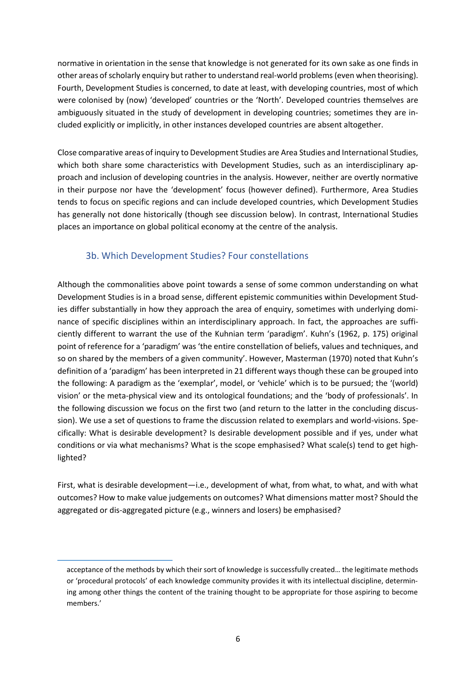normative in orientation in the sense that knowledge is not generated for its own sake as one finds in other areas of scholarly enquiry but rather to understand real-world problems (even when theorising). Fourth, Development Studies is concerned, to date at least, with developing countries, most of which were colonised by (now) 'developed' countries or the 'North'. Developed countries themselves are ambiguously situated in the study of development in developing countries; sometimes they are included explicitly or implicitly, in other instances developed countries are absent altogether.

Close comparative areas of inquiry to Development Studies are Area Studies and International Studies, which both share some characteristics with Development Studies, such as an interdisciplinary approach and inclusion of developing countries in the analysis. However, neither are overtly normative in their purpose nor have the 'development' focus (however defined). Furthermore, Area Studies tends to focus on specific regions and can include developed countries, which Development Studies has generally not done historically (though see discussion below). In contrast, International Studies places an importance on global political economy at the centre of the analysis.

#### 3b. Which Development Studies? Four constellations

<span id="page-9-0"></span>Although the commonalities above point towards a sense of some common understanding on what Development Studies is in a broad sense, different epistemic communities within Development Studies differ substantially in how they approach the area of enquiry, sometimes with underlying dominance of specific disciplines within an interdisciplinary approach. In fact, the approaches are sufficiently different to warrant the use of the Kuhnian term 'paradigm'. Kuhn's (1962, p. 175) original point of reference for a 'paradigm' was 'the entire constellation of beliefs, values and techniques, and so on shared by the members of a given community'. However, Masterman (1970) noted that Kuhn's definition of a 'paradigm' has been interpreted in 21 different ways though these can be grouped into the following: A paradigm as the 'exemplar', model, or 'vehicle' which is to be pursued; the '(world) vision' or the meta-physical view and its ontological foundations; and the 'body of professionals'. In the following discussion we focus on the first two (and return to the latter in the concluding discussion). We use a set of questions to frame the discussion related to exemplars and world-visions. Specifically: What is desirable development? Is desirable development possible and if yes, under what conditions or via what mechanisms? What is the scope emphasised? What scale(s) tend to get highlighted?

First, what is desirable development—i.e., development of what, from what, to what, and with what outcomes? How to make value judgements on outcomes? What dimensions matter most? Should the aggregated or dis-aggregated picture (e.g., winners and losers) be emphasised?

acceptance of the methods by which their sort of knowledge is successfully created… the legitimate methods or 'procedural protocols' of each knowledge community provides it with its intellectual discipline, determining among other things the content of the training thought to be appropriate for those aspiring to become members.'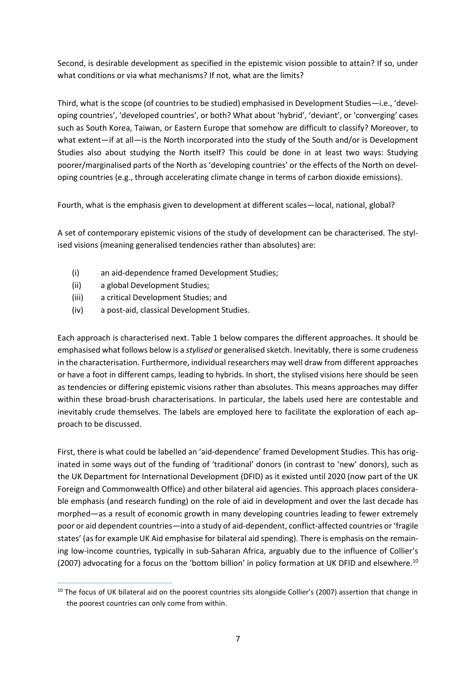Second, is desirable development as specified in the epistemic vision possible to attain? If so, under what conditions or via what mechanisms? If not, what are the limits?

Third, what is the scope (of countries to be studied) emphasised in Development Studies—i.e., 'developing countries', 'developed countries', or both? What about 'hybrid', 'deviant', or 'converging' cases such as South Korea, Taiwan, or Eastern Europe that somehow are difficult to classify? Moreover, to what extent—if at all—is the North incorporated into the study of the South and/or is Development Studies also about studying the North itself? This could be done in at least two ways: Studying poorer/marginalised parts of the North as 'developing countries' or the effects of the North on developing countries (e.g., through accelerating climate change in terms of carbon dioxide emissions).

Fourth, what is the emphasis given to development at different scales—local, national, global?

A set of contemporary epistemic visions of the study of development can be characterised. The stylised visions (meaning generalised tendencies rather than absolutes) are:

- (i) an aid-dependence framed Development Studies;
- (ii) a global Development Studies;
- (iii) a critical Development Studies; and
- (iv) a post-aid, classical Development Studies.

Each approach is characterised next. Table 1 below compares the different approaches. It should be emphasised what follows below is a *stylised* or generalised sketch. Inevitably, there is some crudeness in the characterisation. Furthermore, individual researchers may well draw from different approaches or have a foot in different camps, leading to hybrids. In short, the stylised visions here should be seen as tendencies or differing epistemic visions rather than absolutes. This means approaches may differ within these broad-brush characterisations. In particular, the labels used here are contestable and inevitably crude themselves. The labels are employed here to facilitate the exploration of each approach to be discussed.

First, there is what could be labelled an 'aid-dependence' framed Development Studies. This has originated in some ways out of the funding of 'traditional' donors (in contrast to 'new' donors), such as the UK Department for International Development (DFID) as it existed until 2020 (now part of the UK Foreign and Commonwealth Office) and other bilateral aid agencies. This approach places considerable emphasis (and research funding) on the role of aid in development and over the last decade has morphed—as a result of economic growth in many developing countries leading to fewer extremely poor or aid dependent countries—into a study of aid-dependent, conflict-affected countries or 'fragile states' (as for example UK Aid emphasise for bilateral aid spending). There is emphasis on the remaining low-income countries, typically in sub-Saharan Africa, arguably due to the influence of Collier's (2007) advocating for a focus on the 'bottom billion' in policy formation at UK DFID and elsewhere.<sup>10</sup>

 $10$  The focus of UK bilateral aid on the poorest countries sits alongside Collier's (2007) assertion that change in the poorest countries can only come from within.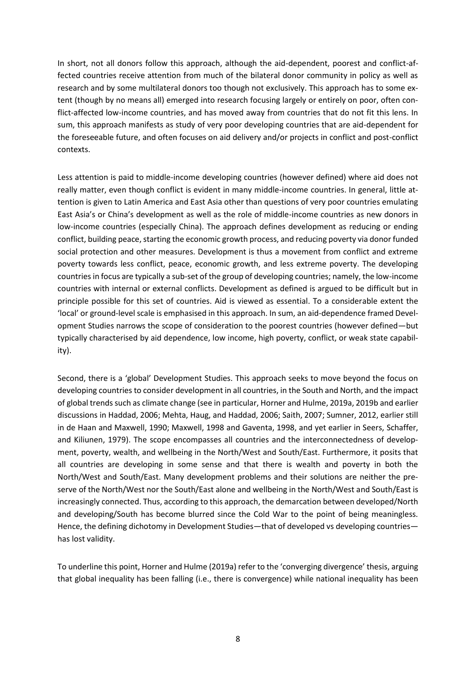In short, not all donors follow this approach, although the aid-dependent, poorest and conflict-affected countries receive attention from much of the bilateral donor community in policy as well as research and by some multilateral donors too though not exclusively. This approach has to some extent (though by no means all) emerged into research focusing largely or entirely on poor, often conflict-affected low-income countries, and has moved away from countries that do not fit this lens. In sum, this approach manifests as study of very poor developing countries that are aid-dependent for the foreseeable future, and often focuses on aid delivery and/or projects in conflict and post-conflict contexts.

Less attention is paid to middle-income developing countries (however defined) where aid does not really matter, even though conflict is evident in many middle-income countries. In general, little attention is given to Latin America and East Asia other than questions of very poor countries emulating East Asia's or China's development as well as the role of middle-income countries as new donors in low-income countries (especially China). The approach defines development as reducing or ending conflict, building peace, starting the economic growth process, and reducing poverty via donor funded social protection and other measures. Development is thus a movement from conflict and extreme poverty towards less conflict, peace, economic growth, and less extreme poverty. The developing countries in focus are typically a sub-set of the group of developing countries; namely, the low-income countries with internal or external conflicts. Development as defined is argued to be difficult but in principle possible for this set of countries. Aid is viewed as essential. To a considerable extent the 'local' or ground-level scale is emphasised in this approach. In sum, an aid-dependence framed Development Studies narrows the scope of consideration to the poorest countries (however defined—but typically characterised by aid dependence, low income, high poverty, conflict, or weak state capability).

Second, there is a 'global' Development Studies. This approach seeks to move beyond the focus on developing countries to consider development in all countries, in the South and North, and the impact of global trends such as climate change (see in particular, Horner and Hulme, 2019a, 2019b and earlier discussions in Haddad, 2006; Mehta, Haug, and Haddad, 2006; Saith, 2007; Sumner, 2012, earlier still in de Haan and Maxwell, 1990; Maxwell, 1998 and Gaventa, 1998, and yet earlier in Seers, Schaffer, and Kiliunen, 1979). The scope encompasses all countries and the interconnectedness of development, poverty, wealth, and wellbeing in the North/West and South/East. Furthermore, it posits that all countries are developing in some sense and that there is wealth and poverty in both the North/West and South/East. Many development problems and their solutions are neither the preserve of the North/West nor the South/East alone and wellbeing in the North/West and South/East is increasingly connected. Thus, according to this approach, the demarcation between developed/North and developing/South has become blurred since the Cold War to the point of being meaningless. Hence, the defining dichotomy in Development Studies—that of developed vs developing countries has lost validity.

To underline this point, Horner and Hulme (2019a) refer to the 'converging divergence' thesis, arguing that global inequality has been falling (i.e., there is convergence) while national inequality has been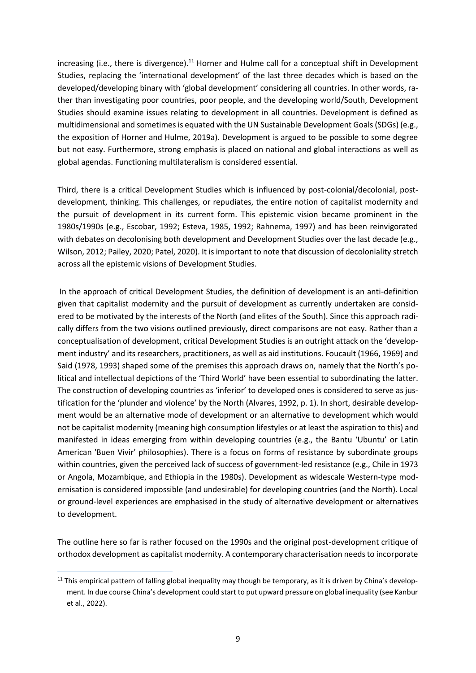increasing (i.e., there is divergence).<sup>11</sup> Horner and Hulme call for a conceptual shift in Development Studies, replacing the 'international development' of the last three decades which is based on the developed/developing binary with 'global development' considering all countries. In other words, rather than investigating poor countries, poor people, and the developing world/South, Development Studies should examine issues relating to development in all countries. Development is defined as multidimensional and sometimes is equated with the UN Sustainable Development Goals (SDGs) (e.g., the exposition of Horner and Hulme, 2019a). Development is argued to be possible to some degree but not easy. Furthermore, strong emphasis is placed on national and global interactions as well as global agendas. Functioning multilateralism is considered essential.

Third, there is a critical Development Studies which is influenced by post-colonial/decolonial, postdevelopment, thinking. This challenges, or repudiates, the entire notion of capitalist modernity and the pursuit of development in its current form. This epistemic vision became prominent in the 1980s/1990s (e.g., Escobar, 1992; Esteva, 1985, 1992; Rahnema, 1997) and has been reinvigorated with debates on decolonising both development and Development Studies over the last decade (e.g., Wilson, 2012; Pailey, 2020; Patel, 2020). It is important to note that discussion of decoloniality stretch across all the epistemic visions of Development Studies.

In the approach of critical Development Studies, the definition of development is an anti-definition given that capitalist modernity and the pursuit of development as currently undertaken are considered to be motivated by the interests of the North (and elites of the South). Since this approach radically differs from the two visions outlined previously, direct comparisons are not easy. Rather than a conceptualisation of development, critical Development Studies is an outright attack on the 'development industry' and its researchers, practitioners, as well as aid institutions. Foucault (1966, 1969) and Said (1978, 1993) shaped some of the premises this approach draws on, namely that the North's political and intellectual depictions of the 'Third World' have been essential to subordinating the latter. The construction of developing countries as 'inferior' to developed ones is considered to serve as justification for the 'plunder and violence' by the North (Alvares, 1992, p. 1). In short, desirable development would be an alternative mode of development or an alternative to development which would not be capitalist modernity (meaning high consumption lifestyles or at least the aspiration to this) and manifested in ideas emerging from within developing countries (e.g., the Bantu 'Ubuntu' or Latin American 'Buen Vivir' philosophies). There is a focus on forms of resistance by subordinate groups within countries, given the perceived lack of success of government-led resistance (e.g., Chile in 1973 or Angola, Mozambique, and Ethiopia in the 1980s). Development as widescale Western-type modernisation is considered impossible (and undesirable) for developing countries (and the North). Local or ground-level experiences are emphasised in the study of alternative development or alternatives to development.

The outline here so far is rather focused on the 1990s and the original post-development critique of orthodox development as capitalist modernity. A contemporary characterisation needs to incorporate

 $11$  This empirical pattern of falling global inequality may though be temporary, as it is driven by China's development. In due course China's development could start to put upward pressure on global inequality (see Kanbur et al., 2022).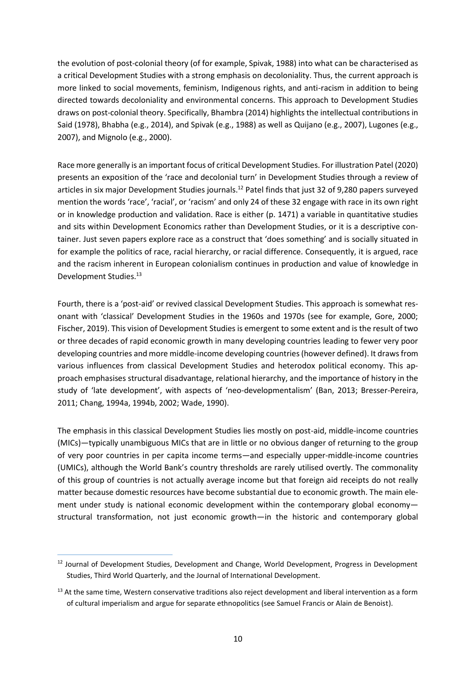the evolution of post-colonial theory (of for example, Spivak, 1988) into what can be characterised as a critical Development Studies with a strong emphasis on decoloniality. Thus, the current approach is more linked to social movements, feminism, Indigenous rights, and anti-racism in addition to being directed towards decoloniality and environmental concerns. This approach to Development Studies draws on post-colonial theory. Specifically, Bhambra (2014) highlights the intellectual contributions in Said (1978), Bhabha (e.g., 2014), and Spivak (e.g., 1988) as well as Quijano (e.g., 2007), Lugones (e.g., 2007), and Mignolo (e.g., 2000).

Race more generally is an important focus of critical Development Studies. For illustration Patel (2020) presents an exposition of the 'race and decolonial turn' in Development Studies through a review of articles in six major Development Studies journals.<sup>12</sup> Patel finds that just 32 of 9,280 papers surveyed mention the words 'race', 'racial', or 'racism' and only 24 of these 32 engage with race in its own right or in knowledge production and validation. Race is either (p. 1471) a variable in quantitative studies and sits within Development Economics rather than Development Studies, or it is a descriptive container. Just seven papers explore race as a construct that 'does something' and is socially situated in for example the politics of race, racial hierarchy, or racial difference. Consequently, it is argued, race and the racism inherent in European colonialism continues in production and value of knowledge in Development Studies.<sup>13</sup>

Fourth, there is a 'post-aid' or revived classical Development Studies. This approach is somewhat resonant with 'classical' Development Studies in the 1960s and 1970s (see for example, Gore, 2000; Fischer, 2019). This vision of Development Studies is emergent to some extent and is the result of two or three decades of rapid economic growth in many developing countries leading to fewer very poor developing countries and more middle-income developing countries (however defined). It draws from various influences from classical Development Studies and heterodox political economy. This approach emphasises structural disadvantage, relational hierarchy, and the importance of history in the study of 'late development', with aspects of 'neo-developmentalism' (Ban, 2013; Bresser-Pereira, 2011; Chang, 1994a, 1994b, 2002; Wade, 1990).

The emphasis in this classical Development Studies lies mostly on post-aid, middle-income countries (MICs)—typically unambiguous MICs that are in little or no obvious danger of returning to the group of very poor countries in per capita income terms—and especially upper-middle-income countries (UMICs), although the World Bank's country thresholds are rarely utilised overtly. The commonality of this group of countries is not actually average income but that foreign aid receipts do not really matter because domestic resources have become substantial due to economic growth. The main element under study is national economic development within the contemporary global economystructural transformation, not just economic growth—in the historic and contemporary global

<sup>&</sup>lt;sup>12</sup> Journal of Development Studies, Development and Change, World Development, Progress in Development Studies, Third World Quarterly, and the Journal of International Development.

<sup>&</sup>lt;sup>13</sup> At the same time, Western conservative traditions also reject development and liberal intervention as a form of cultural imperialism and argue for separate ethnopolitics (see Samuel Francis or Alain de Benoist).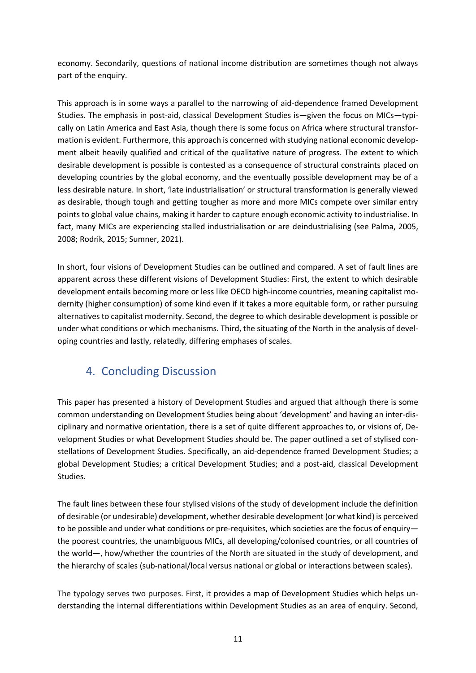economy. Secondarily, questions of national income distribution are sometimes though not always part of the enquiry.

This approach is in some ways a parallel to the narrowing of aid-dependence framed Development Studies. The emphasis in post-aid, classical Development Studies is—given the focus on MICs—typically on Latin America and East Asia, though there is some focus on Africa where structural transformation is evident. Furthermore, this approach is concerned with studying national economic development albeit heavily qualified and critical of the qualitative nature of progress. The extent to which desirable development is possible is contested as a consequence of structural constraints placed on developing countries by the global economy, and the eventually possible development may be of a less desirable nature. In short, 'late industrialisation' or structural transformation is generally viewed as desirable, though tough and getting tougher as more and more MICs compete over similar entry points to global value chains, making it harder to capture enough economic activity to industrialise. In fact, many MICs are experiencing stalled industrialisation or are deindustrialising (see Palma, 2005, 2008; Rodrik, 2015; Sumner, 2021).

In short, four visions of Development Studies can be outlined and compared. A set of fault lines are apparent across these different visions of Development Studies: First, the extent to which desirable development entails becoming more or less like OECD high-income countries, meaning capitalist modernity (higher consumption) of some kind even if it takes a more equitable form, or rather pursuing alternatives to capitalist modernity. Second, the degree to which desirable development is possible or under what conditions or which mechanisms. Third, the situating of the North in the analysis of developing countries and lastly, relatedly, differing emphases of scales.

## <span id="page-14-0"></span>4. Concluding Discussion

This paper has presented a history of Development Studies and argued that although there is some common understanding on Development Studies being about 'development' and having an inter-disciplinary and normative orientation, there is a set of quite different approaches to, or visions of, Development Studies or what Development Studies should be. The paper outlined a set of stylised constellations of Development Studies. Specifically, an aid-dependence framed Development Studies; a global Development Studies; a critical Development Studies; and a post-aid, classical Development Studies.

The fault lines between these four stylised visions of the study of development include the definition of desirable (or undesirable) development, whether desirable development (or what kind) is perceived to be possible and under what conditions or pre-requisites, which societies are the focus of enquiry the poorest countries, the unambiguous MICs, all developing/colonised countries, or all countries of the world—, how/whether the countries of the North are situated in the study of development, and the hierarchy of scales (sub-national/local versus national or global or interactions between scales).

The typology serves two purposes. First, it provides a map of Development Studies which helps understanding the internal differentiations within Development Studies as an area of enquiry. Second,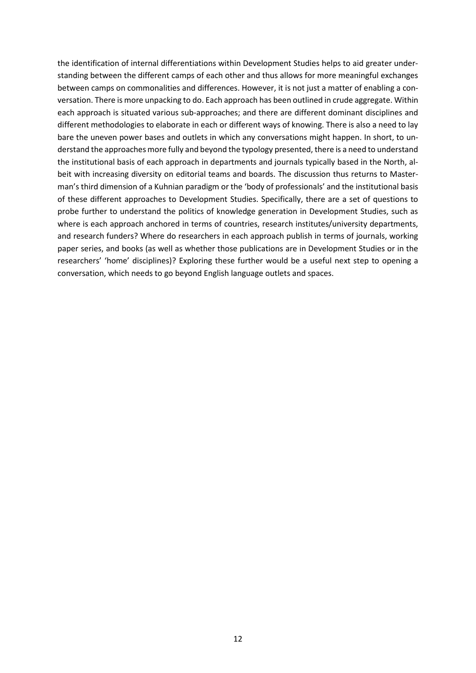the identification of internal differentiations within Development Studies helps to aid greater understanding between the different camps of each other and thus allows for more meaningful exchanges between camps on commonalities and differences. However, it is not just a matter of enabling a conversation. There is more unpacking to do. Each approach has been outlined in crude aggregate. Within each approach is situated various sub-approaches; and there are different dominant disciplines and different methodologies to elaborate in each or different ways of knowing. There is also a need to lay bare the uneven power bases and outlets in which any conversations might happen. In short, to understand the approaches more fully and beyond the typology presented, there is a need to understand the institutional basis of each approach in departments and journals typically based in the North, albeit with increasing diversity on editorial teams and boards. The discussion thus returns to Masterman's third dimension of a Kuhnian paradigm or the 'body of professionals' and the institutional basis of these different approaches to Development Studies. Specifically, there are a set of questions to probe further to understand the politics of knowledge generation in Development Studies, such as where is each approach anchored in terms of countries, research institutes/university departments, and research funders? Where do researchers in each approach publish in terms of journals, working paper series, and books (as well as whether those publications are in Development Studies or in the researchers' 'home' disciplines)? Exploring these further would be a useful next step to opening a conversation, which needs to go beyond English language outlets and spaces.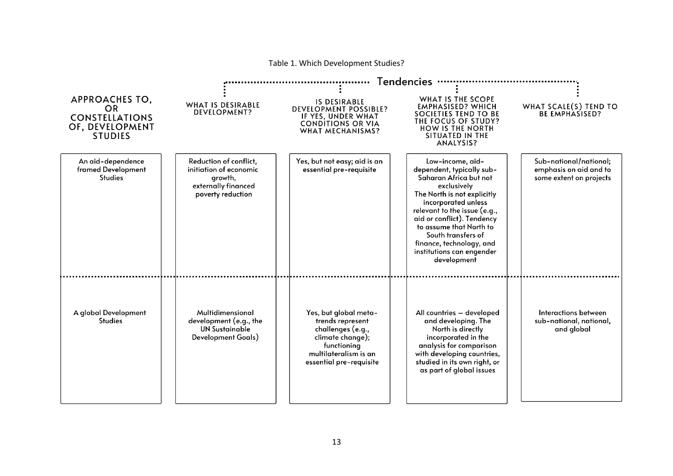| c 1. William Development Stadies:                                                                |                                                                                                         |                                                                                                                                                       |                                                                                                                                                                                                                                                                                                                                     |                                                                             |  |  |  |  |  |
|--------------------------------------------------------------------------------------------------|---------------------------------------------------------------------------------------------------------|-------------------------------------------------------------------------------------------------------------------------------------------------------|-------------------------------------------------------------------------------------------------------------------------------------------------------------------------------------------------------------------------------------------------------------------------------------------------------------------------------------|-----------------------------------------------------------------------------|--|--|--|--|--|
|                                                                                                  | <b>Tendencies</b>                                                                                       |                                                                                                                                                       |                                                                                                                                                                                                                                                                                                                                     |                                                                             |  |  |  |  |  |
| <b>APPROACHES TO,</b><br><b>OR</b><br><b>CONSTELLATIONS</b><br>OF, DEVELOPMENT<br><b>STUDIES</b> | WHAT IS DESIRABLE<br><b>DEVELOPMENT?</b>                                                                | <b>IS DESIRABLE</b><br><b>DEVELOPMENT POSSIBLE?</b><br>IF YES, UNDER WHAT<br><b>CONDITIONS OR VIA</b><br><b>WHAT MECHANISMS?</b>                      | WHAT IS THE SCOPE<br><b>EMPHASISED? WHICH</b><br>SOCIETIES TEND TO BE<br>THE FOCUS OF STUDY?<br><b>HOW IS THE NORTH</b><br>SITUATED IN THE<br>ANALYSIS?                                                                                                                                                                             | WHAT SCALE(S) TEND TO<br><b>BE EMPHASISED?</b>                              |  |  |  |  |  |
| An aid-dependence<br>framed Development<br><b>Studies</b>                                        | Reduction of conflict,<br>initiation of economic<br>growth,<br>externally financed<br>poverty reduction | Yes, but not easy; aid is an<br>essential pre-requisite                                                                                               | Low-income, aid-<br>dependent, typically sub-<br>Saharan Africa but not<br>exclusively<br>The North is not explicitly<br>incorporated unless<br>relevant to the issue (e.g.,<br>aid or conflict). Tendency<br>to assume that North to<br>South transfers of<br>finance, technology, and<br>institutions can engender<br>development | Sub-national/national;<br>emphasis on aid and to<br>some extent on projects |  |  |  |  |  |
| A global Development<br><b>Studies</b>                                                           | Multidimensional<br>development (e.g., the<br><b>UN Sustainable</b><br>Development Goals)               | Yes, but global meta-<br>trends represent<br>challenges (e.g.,<br>climate change);<br>functioning<br>multilateralism is an<br>essential pre-requisite | All countries - developed<br>and developing. The<br>North is directly<br>incorporated in the<br>analysis for comparison<br>with developing countries,<br>studied in its own right, or<br>as part of global issues                                                                                                                   | Interactions between<br>sub-national, national,<br>and global               |  |  |  |  |  |

Table 1. Which Development Studies?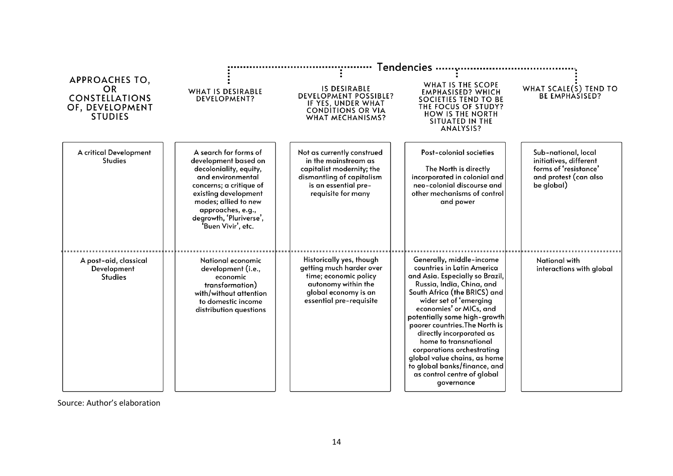|                                                                                           | <b>Tendencies</b>                                                                                                                                                                                                                             |                                                                                                                                                            |                                                                                                                                                                                                                                                                                                                                                                                                                                                                               |                                                                                                               |  |  |
|-------------------------------------------------------------------------------------------|-----------------------------------------------------------------------------------------------------------------------------------------------------------------------------------------------------------------------------------------------|------------------------------------------------------------------------------------------------------------------------------------------------------------|-------------------------------------------------------------------------------------------------------------------------------------------------------------------------------------------------------------------------------------------------------------------------------------------------------------------------------------------------------------------------------------------------------------------------------------------------------------------------------|---------------------------------------------------------------------------------------------------------------|--|--|
| <b>APPROACHES TO,</b><br>OR<br><b>CONSTELLATIONS</b><br>OF, DEVELOPMENT<br><b>STUDIES</b> | <b>WHAT IS DESIRABLE</b><br><b>DEVELOPMENT?</b>                                                                                                                                                                                               | <b>IS DESIRABLE</b><br><b>DEVELOPMENT POSSIBLE?</b><br>IF YES, UNDER WHAT<br><b>CONDITIONS OR VIA</b><br><b>WHAT MECHANISMS?</b>                           | WHAT IS THE SCOPE<br><b>EMPHASISED? WHICH</b><br>SOCIETIES TEND TO BE<br>THE FOCUS OF STUDY?<br><b>HOW IS THE NORTH</b><br>SITUATED IN THE<br>ANALYSIS?                                                                                                                                                                                                                                                                                                                       | WHAT SCALE(S) TEND TO<br><b>BE EMPHASISED?</b>                                                                |  |  |
| A critical Development<br><b>Studies</b>                                                  | A search for forms of<br>development based on<br>decoloniality, equity,<br>and environmental<br>concerns; a critique of<br>existing development<br>modes; allied to new<br>approaches, e.g.,<br>degrowth, 'Pluriverse',<br>'Buen Vivir', etc. | Not as currently construed<br>in the mainstream as<br>capitalist modernity; the<br>dismantling of capitalism<br>is an essential pre-<br>requisite for many | Post-colonial societies<br>The North is directly<br>incorporated in colonial and<br>neo-colonial discourse and<br>other mechanisms of control<br>and power                                                                                                                                                                                                                                                                                                                    | Sub-national, local<br>initiatives, different<br>forms of 'resistance'<br>and protest (can also<br>be global) |  |  |
| A post-aid, classical<br>Development<br><b>Studies</b>                                    | National economic<br>development (i.e.,<br>economic<br>transformation)<br>with/without attention<br>to domestic income<br>distribution questions                                                                                              | Historically yes, though<br>getting much harder over<br>time; economic policy<br>autonomy within the<br>global economy is an<br>essential pre-requisite    | Generally, middle-income<br>countries in Latin America<br>and Asia. Especially so Brazil,<br>Russia, India, China, and<br>South Africa (the BRICS) and<br>wider set of 'emerging<br>economies' or MICs, and<br>potentially some high-growth<br>poorer countries. The North is<br>directly incorporated as<br>home to transnational<br>corporations orchestrating<br>global value chains, as home<br>to global banks/finance, and<br>as control centre of global<br>governance | National with<br>interactions with global                                                                     |  |  |

Source: Author's elaboration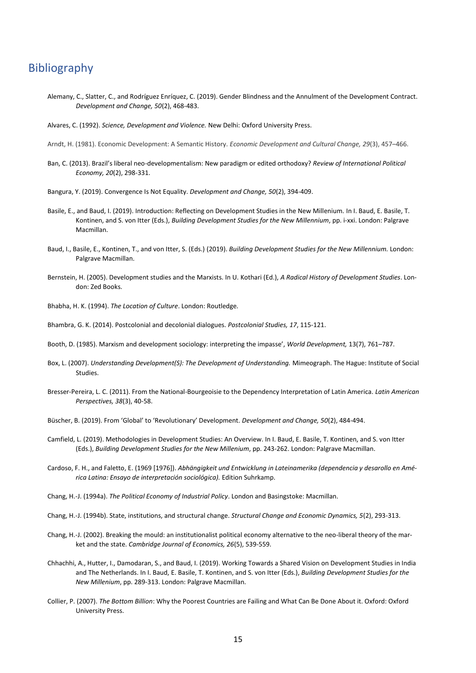#### <span id="page-18-0"></span>Bibliography

- Alemany, C., Slatter, C., and Rodríguez Enríquez, C. (2019). Gender Blindness and the Annulment of the Development Contract. *Development and Change, 50*(2), 468-483.
- Alvares, C. (1992). *Science, Development and Violence.* New Delhi: Oxford University Press.

Arndt, H. (1981). Economic Development: A Semantic History. *Economic Development and Cultural Change, 29*(3), 457–466.

- Ban, C. (2013). Brazil's liberal neo-developmentalism: New paradigm or edited orthodoxy? *Review of International Political Economy, 20*(2), 298-331.
- Bangura, Y. (2019). Convergence Is Not Equality. *Development and Change, 50*(2), 394-409.
- Basile, E., and Baud, I. (2019). Introduction: Reflecting on Development Studies in the New Millenium. In I. Baud, E. Basile, T. Kontinen, and S. von Itter (Eds.), *Building Development Studies for the New Millennium*, pp. i-xxi. London: Palgrave Macmillan.
- Baud, I., Basile, E., Kontinen, T., and von Itter, S. (Eds.) (2019). *Building Development Studies for the New Millennium.* London: Palgrave Macmillan.
- Bernstein, H. (2005). Development studies and the Marxists. In U. Kothari (Ed.), *A Radical History of Development Studies*. London: Zed Books.
- Bhabha, H. K. (1994). *The Location of Culture*. London: Routledge.

[Bhambra,](https://www.tandfonline.com/author/Bhambra%2C+Gurminder+K) G. K. (2014). Postcolonial and decolonial dialogues. *Postcolonial Studies, 17*, 115-121.

- Booth, D. (1985). Marxism and development sociology: interpreting the impasse', *World Development,* 13(7), 761–787.
- Box, L. (2007). *Understanding Development(S): The Development of Understanding.* Mimeograph. The Hague: Institute of Social Studies.
- Bresser-Pereira, L. C. (2011). From the National-Bourgeoisie to the Dependency Interpretation of Latin America. *Latin American Perspectives, 38*(3), 40-58.
- Büscher, B. (2019). From 'Global' to 'Revolutionary' Development. *Development and Change, 50*(2), 484-494.
- Camfield, L. (2019). Methodologies in Development Studies: An Overview. In I. Baud, E. Basile, T. Kontinen, and S. von Itter (Eds.), *Building Development Studies for the New Millenium*, pp. 243-262. London: Palgrave Macmillan.
- Cardoso, F. H., and Faletto, E. (1969 [1976]). *Abhängigkeit und Entwicklung in Lateinamerika (dependencia y desarollo en América Latina: Ensayo de interpretación sociológica).* Edition Suhrkamp.
- Chang, H.-J. (1994a). *The Political Economy of Industrial Policy*. London and Basingstoke: Macmillan.
- Chang, H.-J. (1994b). State, institutions, and structural change. *Structural Change and Economic Dynamics, 5*(2), 293-313.
- Chang, H.-J. (2002). Breaking the mould: an institutionalist political economy alternative to the neo-liberal theory of the market and the state. *Cambridge Journal of Economics, 26*(5), 539-559.
- Chhachhi, A., Hutter, I., Damodaran, S., and Baud, I. (2019). Working Towards a Shared Vision on Development Studies in India and The Netherlands. In I. Baud, E. Basile, T. Kontinen, and S. von Itter (Eds.), *Building Development Studies for the New Millenium*, pp. 289-313. London: Palgrave Macmillan.
- Collier, P. (2007). *The Bottom Billion*: Why the Poorest Countries are Failing and What Can Be Done About it. Oxford: Oxford University Press.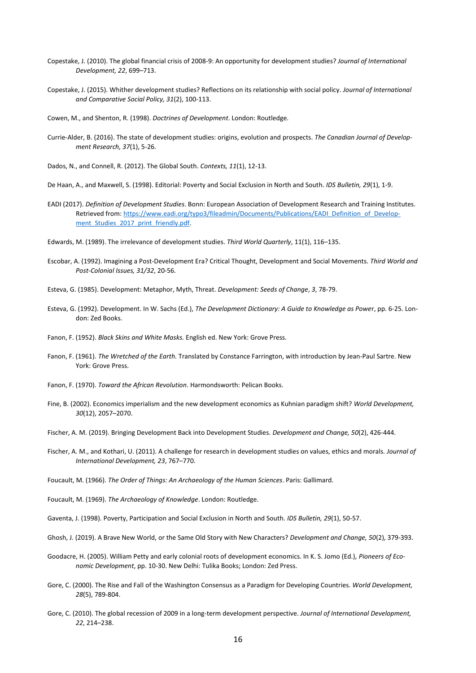- Copestake, J. (2010). The global financial crisis of 2008-9: An opportunity for development studies? *Journal of International Development, 22*, 699–713.
- Copestake, J. (2015). Whither development studies? Reflections on its relationship with social policy. *Journal of International and Comparative Social Policy, 31*(2), 100-113.
- Cowen, M., and Shenton, R. (1998). *Doctrines of Development*. London: Routledge.
- Currie-Alder, B. (2016). The state of development studies: origins, evolution and prospects. *The Canadian Journal of Development Research, 37*(1), 5-26.
- Dados, N., and Connell, R. (2012). The Global South. *Contexts, 11*(1), 12-13.
- De Haan, A., and Maxwell, S. (1998). Editorial: Poverty and Social Exclusion in North and South. *IDS Bulletin, 29*(1), 1-9.
- EADI (2017). *Definition of Development Studies*. Bonn: European Association of Development Research and Training Institutes. Retrieved from[: https://www.eadi.org/typo3/fileadmin/Documents/Publications/EADI\\_Definition\\_of\\_Develop](https://www.eadi.org/typo3/fileadmin/Documents/Publications/EADI_Definition_of_Development_Studies_2017_print_friendly.pdf)ment Studies 2017 print friendly.pdf.
- Edwards, M. (1989). The irrelevance of development studies. *Third World Quarterly*, 11(1), 116–135.
- Escobar, A. (1992). Imagining a Post-Development Era? Critical Thought, Development and Social Movements. *Third World and Post-Colonial Issues, 31/32*, 20-56.
- Esteva, G. (1985). Development: Metaphor, Myth, Threat. *Development: Seeds of Change*, *3*, 78-79.
- Esteva, G. (1992). Development. In W. Sachs (Ed.), *The Development Dictionary: A Guide to Knowledge as Powe*r, pp. 6-25. London: Zed Books.
- Fanon, F. (1952). *Black Skins and White Masks.* English ed. New York: Grove Press.
- Fanon, F. (1961). *The Wretched of the Earth.* Translated by Constance Farrington, with introduction by Jean-Paul Sartre. New York: Grove Press.
- Fanon, F. (1970). *Toward the African Revolution*. Harmondsworth: Pelican Books.
- Fine, B. (2002). Economics imperialism and the new development economics as Kuhnian paradigm shift? *World Development, 30*(12), 2057–2070.
- Fischer, A. M. (2019). Bringing Development Back into Development Studies. *Development and Change, 50*(2), 426-444.
- Fischer, A. M., and Kothari, U. (2011). A challenge for research in development studies on values, ethics and morals. *Journal of International Development, 23*, 767–770.
- Foucault, M. (1966). *The Order of Things: An Archaeology of the Human Sciences*. Paris: Gallimard.
- Foucault, M. (1969). *The Archaeology of Knowledge*. London: Routledge.
- Gaventa, J. (1998). Poverty, Participation and Social Exclusion in North and South. *IDS Bulletin, 29*(1), 50-57.
- Ghosh, J. (2019). A Brave New World, or the Same Old Story with New Characters? *Development and Change, 50*(2), 379-393.
- Goodacre, H. (2005). William Petty and early colonial roots of development economics. In K. S. Jomo (Ed.), *Pioneers of Economic Development*, pp. 10-30. New Delhi: Tulika Books; London: Zed Press.
- Gore, C. (2000). The Rise and Fall of the Washington Consensus as a Paradigm for Developing Countries. *World Development, 28*(5), 789-804.
- Gore, C. (2010). The global recession of 2009 in a long-term development perspective. *Journal of International Development, 22*, 214–238.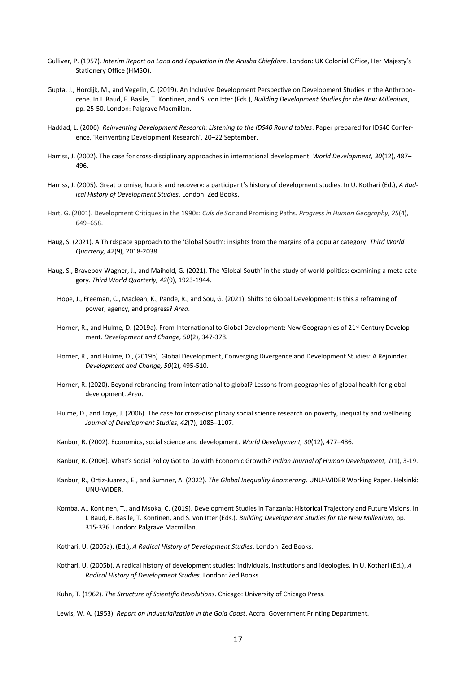- Gulliver, P. (1957). *Interim Report on Land and Population in the Arusha Chiefdom*. London: UK Colonial Office, Her Majesty's Stationery Office (HMSO).
- Gupta, J., Hordijk, M., and Vegelin, C. (2019). An Inclusive Development Perspective on Development Studies in the Anthropocene. In I. Baud, E. Basile, T. Kontinen, and S. von Itter (Eds.), *Building Development Studies for the New Millenium*, pp. 25-50. London: Palgrave Macmillan.
- Haddad, L. (2006). *Reinventing Development Research: Listening to the IDS40 Round tables*. Paper prepared for IDS40 Conference, 'Reinventing Development Research', 20–22 September.
- Harriss, J. (2002). The case for cross-disciplinary approaches in international development. *World Development, 30*(12), 487– 496.
- Harriss, J. (2005). Great promise, hubris and recovery: a participant's history of development studies. In U. Kothari (Ed.), *A Radical History of Development Studies*. London: Zed Books.
- Hart, G. (2001). Development Critiques in the 1990s: *Culs de Sac* and Promising Paths. *Progress in Human Geography, 25*(4), 649–658.
- Haug, S. (2021). A Thirdspace approach to the 'Global South': insights from the margins of a popular category. *Third World Quarterly, 42*(9), 2018-2038.
- Haug, S., Braveboy-Wagner, J., and Maihold, G. (2021). The 'Global South' in the study of world politics: examining a meta category. *Third World Quarterly, 42*(9), 1923-1944.
	- Hope, J., Freeman, C., Maclean, K., Pande, R., and Sou, G. (2021). Shifts to Global Development: Is this a reframing of power, agency, and progress? *Area*.
	- Horner, R., and Hulme, D. (2019a). From International to Global Development: New Geographies of 21st Century Development. *Development and Change, 50*(2), 347-378.
	- Horner, R., and Hulme, D., (2019b). Global Development, Converging Divergence and Development Studies: A Rejoinder. *Development and Change, 50*(2), 495-510.
	- Horner, R. (2020). Beyond rebranding from international to global? Lessons from geographies of global health for global development. *Area*.
	- Hulme, D., and Toye, J. (2006). The case for cross-disciplinary social science research on poverty, inequality and wellbeing. *Journal of Development Studies, 42*(7), 1085–1107.
	- Kanbur, R. (2002). Economics, social science and development. *World Development, 30*(12), 477–486.
	- Kanbur, R. (2006). What's Social Policy Got to Do with Economic Growth? *Indian Journal of Human Development, 1*(1), 3-19.
	- Kanbur, R., Ortiz-Juarez., E., and Sumner, A. (2022). *The Global Inequality Boomerang*. UNU-WIDER Working Paper. Helsinki: UNU-WIDER.
	- Komba, A., Kontinen, T., and Msoka, C. (2019). Development Studies in Tanzania: Historical Trajectory and Future Visions. In I. Baud, E. Basile, T. Kontinen, and S. von Itter (Eds.), *Building Development Studies for the New Millenium*, pp. 315-336. London: Palgrave Macmillan.
	- Kothari, U. (2005a). (Ed.), *A Radical History of Development Studies*. London: Zed Books.
	- Kothari, U. (2005b). A radical history of development studies: individuals, institutions and ideologies. In U. Kothari (Ed.), *A Radical History of Development Studies*. London: Zed Books.
	- Kuhn, T. (1962). *The Structure of Scientific Revolutions*. Chicago: University of Chicago Press.

Lewis, W. A. (1953). *Report on Industrialization in the Gold Coast*. Accra: Government Printing Department.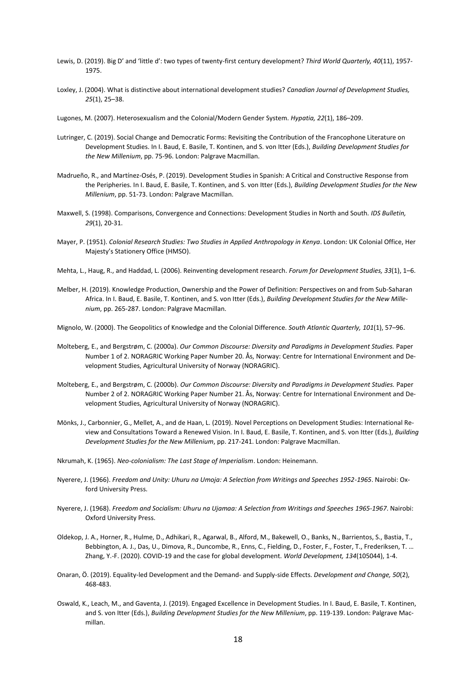- Lewis, D. (2019). Big D' and 'little d': two types of twenty-first century development? *Third World Quarterly, 40*(11), 1957- 1975.
- Loxley, J. (2004). What is distinctive about international development studies? *Canadian Journal of Development Studies, 25*(1), 25–38.
- Lugones, M. (2007). Heterosexualism and the Colonial/Modern Gender System. *Hypatia, 22*(1), 186–209.
- Lutringer, C. (2019). Social Change and Democratic Forms: Revisiting the Contribution of the Francophone Literature on Development Studies. In I. Baud, E. Basile, T. Kontinen, and S. von Itter (Eds.), *Building Development Studies for the New Millenium*, pp. 75-96. London: Palgrave Macmillan.
- Madrueño, R., and Martínez-Osés, P. (2019). Development Studies in Spanish: A Critical and Constructive Response from the Peripheries. In I. Baud, E. Basile, T. Kontinen, and S. von Itter (Eds.), *Building Development Studies for the New Millenium*, pp. 51-73. London: Palgrave Macmillan.
- Maxwell, S. (1998). Comparisons, Convergence and Connections: Development Studies in North and South. *IDS Bulletin, 29*(1), 20-31.
- Mayer, P. (1951). *Colonial Research Studies: Two Studies in Applied Anthropology in Kenya*. London: UK Colonial Office, Her Majesty's Stationery Office (HMSO).
- Mehta, L., Haug, R., and Haddad, L. (2006). Reinventing development research. *Forum for Development Studies, 33*(1), 1–6.
- Melber, H. (2019). Knowledge Production, Ownership and the Power of Definition: Perspectives on and from Sub-Saharan Africa. In I. Baud, E. Basile, T. Kontinen, and S. von Itter (Eds.), *Building Development Studies for the New Millenium*, pp. 265-287. London: Palgrave Macmillan.
- Mignolo, W. (2000). The Geopolitics of Knowledge and the Colonial Difference. *South Atlantic Quarterly, 101*(1), 57–96.
- Molteberg, E., and Bergstrøm, C. (2000a). *Our Common Discourse: Diversity and Paradigms in Development Studies.* Paper Number 1 of 2. NORAGRIC Working Paper Number 20. Ås, Norway: Centre for International Environment and Development Studies, Agricultural University of Norway (NORAGRIC).
- Molteberg, E., and Bergstrøm, C. (2000b). *Our Common Discourse: Diversity and Paradigms in Development Studies.* Paper Number 2 of 2. NORAGRIC Working Paper Number 21. Ås, Norway: Centre for International Environment and Development Studies, Agricultural University of Norway (NORAGRIC).
- Mönks, J., Carbonnier, G., Mellet, A., and de Haan, L. (2019). Novel Perceptions on Development Studies: International Review and Consultations Toward a Renewed Vision. In I. Baud, E. Basile, T. Kontinen, and S. von Itter (Eds.), *Building Development Studies for the New Millenium*, pp. 217-241. London: Palgrave Macmillan.
- Nkrumah, K. (1965). *Neo-colonialism: The Last Stage of Imperialism*. London: Heinemann.
- Nyerere, J. (1966). *Freedom and Unity: Uhuru na Umoja: A Selection from Writings and Speeches 1952-1965*. Nairobi: Oxford University Press.
- Nyerere, J. (1968). *Freedom and Socialism: Uhuru na Ujamaa: A Selection from Writings and Speeches 1965-1967*. Nairobi: Oxford University Press.
- Oldekop, J. A., Horner, R., Hulme, D., Adhikari, R., Agarwal, B., Alford, M., Bakewell, O., Banks, N., Barrientos, S., Bastia, T., Bebbington, A. J., Das, U., Dimova, R., Duncombe, R., Enns, C., Fielding, D., Foster, F., Foster, T., Frederiksen, T. … Zhang, Y.-F. (2020). COVID-19 and the case for global development. *World Development, 134*(105044), 1-4.
- Onaran, Ö. (2019). Equality-led Development and the Demand- and Supply-side Effects. *Development and Change, 50*(2), 468-483.
- Oswald, K., Leach, M., and Gaventa, J. (2019). Engaged Excellence in Development Studies. In I. Baud, E. Basile, T. Kontinen, and S. von Itter (Eds.), *Building Development Studies for the New Millenium*, pp. 119-139. London: Palgrave Macmillan.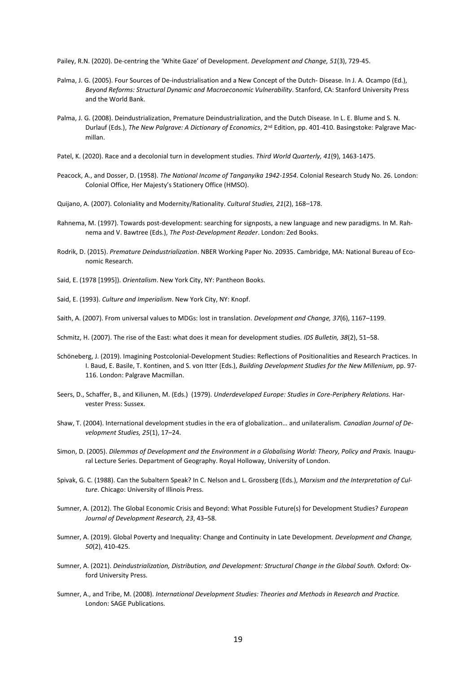Pailey, R.N. (2020). De-centring the 'White Gaze' of Development. *Development and Change, 51*(3), 729-45.

- Palma, J. G. (2005). Four Sources of De-industrialisation and a New Concept of the Dutch- Disease. In J. A. Ocampo (Ed.), *Beyond Reforms: Structural Dynamic and Macroeconomic Vulnerability*. Stanford, CA: Stanford University Press and the World Bank.
- Palma, J. G. (2008). Deindustrialization, Premature Deindustrialization, and the Dutch Disease. In L. E. Blume and S. N. Durlauf (Eds.), *The New Palgrave: A Dictionary of Economics*, 2nd Edition, pp. 401-410. Basingstoke: Palgrave Macmillan.
- Patel, K. (2020). Race and a decolonial turn in development studies. *Third World Quarterly, 41*(9), 1463-1475.
- Peacock, A., and Dosser, D. (1958). *The National Income of Tanganyika 1942-1954*. Colonial Research Study No. 26. London: Colonial Office, Her Majesty's Stationery Office (HMSO).
- Quijano, A. (2007). Coloniality and Modernity/Rationality. *Cultural Studies, 21*(2), 168–178.
- Rahnema, M. (1997). Towards post-development: searching for signposts, a new language and new paradigms. In M. Rahnema and V. Bawtree (Eds.), *The Post-Development Reader*. London: Zed Books.
- Rodrik, D. (2015). *Premature Deindustrialization*. NBER Working Paper No. 20935. Cambridge, MA: National Bureau of Economic Research.

Said, E. (1978 [1995]). *Orientalism*. New York City, NY: Pantheon Books.

Said, E. (1993). *Culture and Imperialism*. New York City, NY: Knopf.

- Saith, A. (2007). From universal values to MDGs: lost in translation. *Development and Change, 37*(6), 1167–1199.
- Schmitz, H. (2007). The rise of the East: what does it mean for development studies. *IDS Bulletin, 38*(2), 51–58.
- Schöneberg, J. (2019). Imagining Postcolonial-Development Studies: Reflections of Positionalities and Research Practices. In I. Baud, E. Basile, T. Kontinen, and S. von Itter (Eds.), *Building Development Studies for the New Millenium*, pp. 97- 116. London: Palgrave Macmillan.
- Seers, D., Schaffer, B., and Kiliunen, M. (Eds.) (1979). *Underdeveloped Europe: Studies in Core-Periphery Relations.* Harvester Press: Sussex.
- Shaw, T. (2004). International development studies in the era of globalization… and unilateralism. *Canadian Journal of Development Studies, 25*(1), 17–24.
- Simon, D. (2005). *Dilemmas of Development and the Environment in a Globalising World: Theory, Policy and Praxis.* Inaugural Lecture Series. Department of Geography. Royal Holloway, University of London.
- Spivak, G. C. (1988). Can the Subaltern Speak? In C. Nelson and L. Grossberg (Eds.), *Marxism and the Interpretation of Culture*. Chicago: University of Illinois Press.
- Sumner, A. (2012). The Global Economic Crisis and Beyond: What Possible Future(s) for Development Studies? *European Journal of Development Research, 23*, 43–58.
- Sumner, A. (2019). Global Poverty and Inequality: Change and Continuity in Late Development. *Development and Change, 50*(2), 410-425.
- Sumner, A. (2021). *Deindustrialization, Distribution, and Development: Structural Change in the Global South.* Oxford: Oxford University Press.
- Sumner, A., and Tribe, M. (2008). *International Development Studies: Theories and Methods in Research and Practice.* London: SAGE Publications.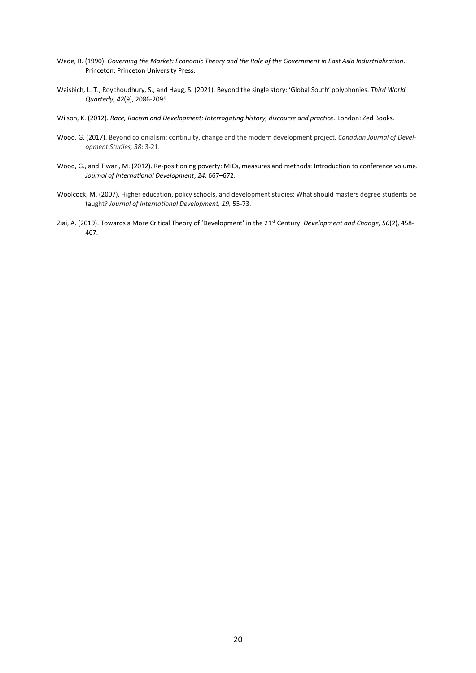- Wade, R. (1990). *Governing the Market: Economic Theory and the Role of the Government in East Asia Industrialization*. Princeton: Princeton University Press.
- Waisbich, L. T., Roychoudhury, S., and Haug, S. (2021). Beyond the single story: 'Global South' polyphonies. *Third World Quarterly, 42*(9), 2086-2095.
- Wilson, K. (2012). *Race, Racism and Development: Interrogating history, discourse and practice*. London: Zed Books.
- Wood, G. (2017). Beyond colonialism: continuity, change and the modern development project. *Canadian Journal of Development Studies, 38*: 3-21.
- Wood, G., and Tiwari, M. (2012). Re-positioning poverty: MICs, measures and methods: Introduction to conference volume. *Journal of International Development*, *24,* 667–672.
- Woolcock, M. (2007). Higher education, policy schools, and development studies: What should masters degree students be taught? *Journal of International Development, 19,* 55-73.
- Ziai, A. (2019). Towards a More Critical Theory of 'Development' in the 21st Century. *Development and Change, 50*(2), 458- 467.